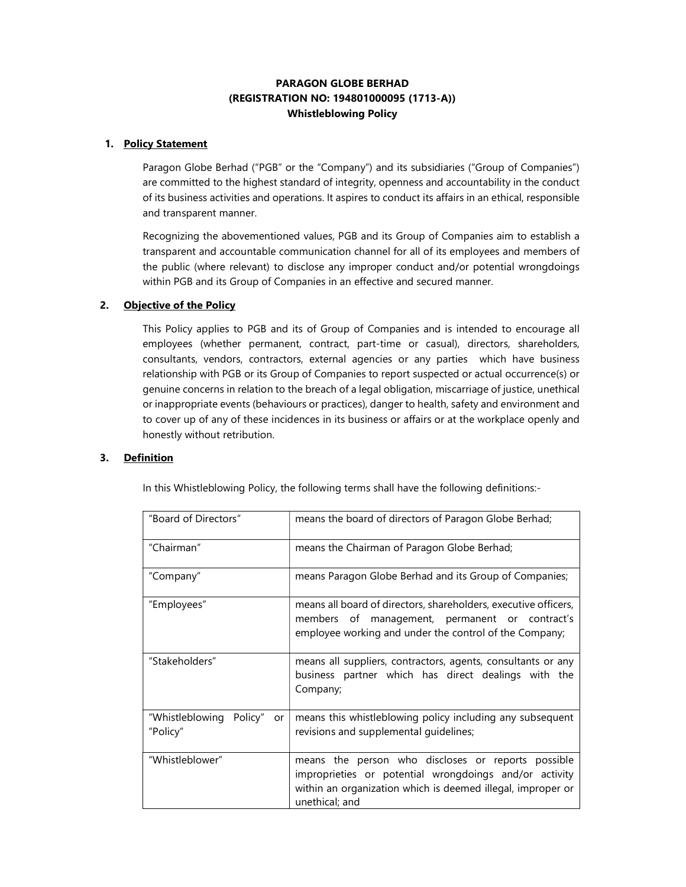# PARAGON GLOBE BERHAD (REGISTRATION NO: 194801000095 (1713-A)) Whistleblowing Policy

## 1. Policy Statement

Paragon Globe Berhad ("PGB" or the "Company") and its subsidiaries ("Group of Companies") are committed to the highest standard of integrity, openness and accountability in the conduct of its business activities and operations. It aspires to conduct its affairs in an ethical, responsible and transparent manner.

Recognizing the abovementioned values, PGB and its Group of Companies aim to establish a transparent and accountable communication channel for all of its employees and members of the public (where relevant) to disclose any improper conduct and/or potential wrongdoings within PGB and its Group of Companies in an effective and secured manner.

#### 2. Objective of the Policy

This Policy applies to PGB and its of Group of Companies and is intended to encourage all employees (whether permanent, contract, part-time or casual), directors, shareholders, consultants, vendors, contractors, external agencies or any parties which have business relationship with PGB or its Group of Companies to report suspected or actual occurrence(s) or genuine concerns in relation to the breach of a legal obligation, miscarriage of justice, unethical or inappropriate events (behaviours or practices), danger to health, safety and environment and to cover up of any of these incidences in its business or affairs or at the workplace openly and honestly without retribution.

## 3. Definition

In this Whistleblowing Policy, the following terms shall have the following definitions:-

| "Board of Directors"                      | means the board of directors of Paragon Globe Berhad;                                                                                                                                         |
|-------------------------------------------|-----------------------------------------------------------------------------------------------------------------------------------------------------------------------------------------------|
| "Chairman"                                | means the Chairman of Paragon Globe Berhad;                                                                                                                                                   |
| "Company"                                 | means Paragon Globe Berhad and its Group of Companies;                                                                                                                                        |
| "Employees"                               | means all board of directors, shareholders, executive officers,<br>members of management, permanent or contract's<br>employee working and under the control of the Company;                   |
| "Stakeholders"                            | means all suppliers, contractors, agents, consultants or any<br>business partner which has direct dealings with the<br>Company;                                                               |
| "Whistleblowing Policy"<br>or<br>"Policy" | means this whistleblowing policy including any subsequent<br>revisions and supplemental quidelines;                                                                                           |
| "Whistleblower"                           | means the person who discloses or reports possible<br>improprieties or potential wrongdoings and/or activity<br>within an organization which is deemed illegal, improper or<br>unethical; and |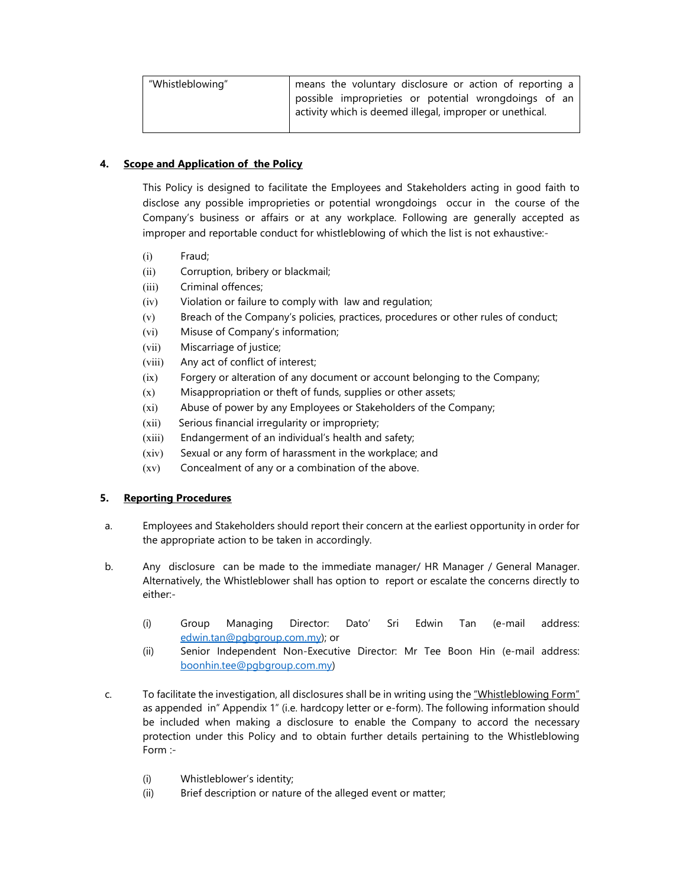| "Whistleblowing" | means the voluntary disclosure or action of reporting a  |
|------------------|----------------------------------------------------------|
|                  | possible improprieties or potential wrongdoings of an    |
|                  | activity which is deemed illegal, improper or unethical. |

## 4. Scope and Application of the Policy

This Policy is designed to facilitate the Employees and Stakeholders acting in good faith to disclose any possible improprieties or potential wrongdoings occur in the course of the Company's business or affairs or at any workplace. Following are generally accepted as improper and reportable conduct for whistleblowing of which the list is not exhaustive:-

- (i) Fraud;
- (ii) Corruption, bribery or blackmail;
- (iii) Criminal offences;
- (iv) Violation or failure to comply with law and regulation;
- (v) Breach of the Company's policies, practices, procedures or other rules of conduct;
- (vi) Misuse of Company's information;
- (vii) Miscarriage of justice;
- (viii) Any act of conflict of interest;
- (ix) Forgery or alteration of any document or account belonging to the Company;
- (x) Misappropriation or theft of funds, supplies or other assets;
- (xi) Abuse of power by any Employees or Stakeholders of the Company;
- (xii) Serious financial irregularity or impropriety;
- (xiii) Endangerment of an individual's health and safety;
- (xiv) Sexual or any form of harassment in the workplace; and
- (xv) Concealment of any or a combination of the above.

## 5. Reporting Procedures

- a. Employees and Stakeholders should report their concern at the earliest opportunity in order for the appropriate action to be taken in accordingly.
- b. Any disclosure can be made to the immediate manager/ HR Manager / General Manager. Alternatively, the Whistleblower shall has option to report or escalate the concerns directly to either:-
	- (i) Group Managing Director: Dato' Sri Edwin Tan (e-mail address: edwin.tan@pgbgroup.com.my); or
	- (ii) Senior Independent Non-Executive Director: Mr Tee Boon Hin (e-mail address: boonhin.tee@pgbgroup.com.my)
- c. To facilitate the investigation, all disclosures shall be in writing using the "Whistleblowing Form" as appended in" Appendix 1" (i.e. hardcopy letter or e-form). The following information should be included when making a disclosure to enable the Company to accord the necessary protection under this Policy and to obtain further details pertaining to the Whistleblowing Form :-
	- (i) Whistleblower's identity;
	- (ii) Brief description or nature of the alleged event or matter;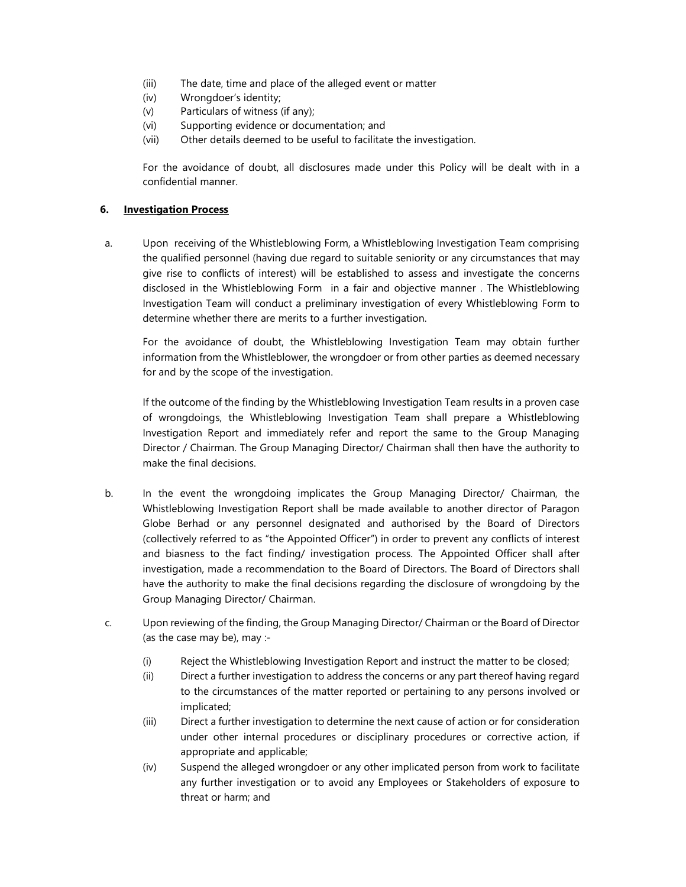- (iii) The date, time and place of the alleged event or matter
- (iv) Wrongdoer's identity;
- (v) Particulars of witness (if any);
- (vi) Supporting evidence or documentation; and
- (vii) Other details deemed to be useful to facilitate the investigation.

For the avoidance of doubt, all disclosures made under this Policy will be dealt with in a confidential manner.

## 6. Investigation Process

a. Upon receiving of the Whistleblowing Form, a Whistleblowing Investigation Team comprising the qualified personnel (having due regard to suitable seniority or any circumstances that may give rise to conflicts of interest) will be established to assess and investigate the concerns disclosed in the Whistleblowing Form in a fair and objective manner . The Whistleblowing Investigation Team will conduct a preliminary investigation of every Whistleblowing Form to determine whether there are merits to a further investigation.

For the avoidance of doubt, the Whistleblowing Investigation Team may obtain further information from the Whistleblower, the wrongdoer or from other parties as deemed necessary for and by the scope of the investigation.

If the outcome of the finding by the Whistleblowing Investigation Team results in a proven case of wrongdoings, the Whistleblowing Investigation Team shall prepare a Whistleblowing Investigation Report and immediately refer and report the same to the Group Managing Director / Chairman. The Group Managing Director/ Chairman shall then have the authority to make the final decisions.

- b. In the event the wrongdoing implicates the Group Managing Director/ Chairman, the Whistleblowing Investigation Report shall be made available to another director of Paragon Globe Berhad or any personnel designated and authorised by the Board of Directors (collectively referred to as "the Appointed Officer") in order to prevent any conflicts of interest and biasness to the fact finding/ investigation process. The Appointed Officer shall after investigation, made a recommendation to the Board of Directors. The Board of Directors shall have the authority to make the final decisions regarding the disclosure of wrongdoing by the Group Managing Director/ Chairman.
- c. Upon reviewing of the finding, the Group Managing Director/ Chairman or the Board of Director (as the case may be), may :-
	- (i) Reject the Whistleblowing Investigation Report and instruct the matter to be closed;
	- (ii) Direct a further investigation to address the concerns or any part thereof having regard to the circumstances of the matter reported or pertaining to any persons involved or implicated;
	- (iii) Direct a further investigation to determine the next cause of action or for consideration under other internal procedures or disciplinary procedures or corrective action, if appropriate and applicable;
	- (iv) Suspend the alleged wrongdoer or any other implicated person from work to facilitate any further investigation or to avoid any Employees or Stakeholders of exposure to threat or harm; and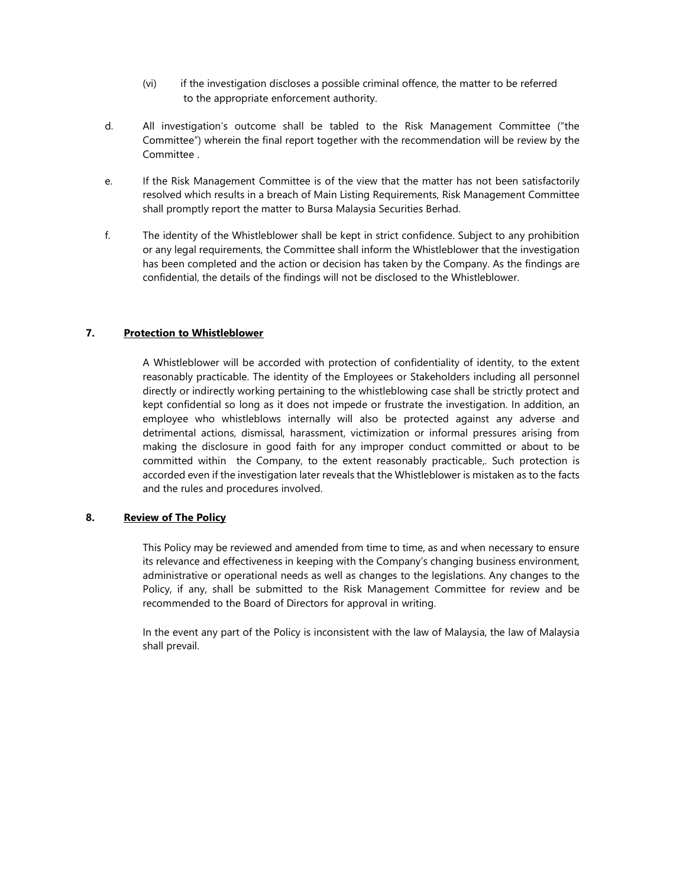- (vi) if the investigation discloses a possible criminal offence, the matter to be referred to the appropriate enforcement authority.
- d. All investigation's outcome shall be tabled to the Risk Management Committee ("the Committee") wherein the final report together with the recommendation will be review by the Committee .
- e. If the Risk Management Committee is of the view that the matter has not been satisfactorily resolved which results in a breach of Main Listing Requirements, Risk Management Committee shall promptly report the matter to Bursa Malaysia Securities Berhad.
- f. The identity of the Whistleblower shall be kept in strict confidence. Subject to any prohibition or any legal requirements, the Committee shall inform the Whistleblower that the investigation has been completed and the action or decision has taken by the Company. As the findings are confidential, the details of the findings will not be disclosed to the Whistleblower.

#### 7. Protection to Whistleblower

A Whistleblower will be accorded with protection of confidentiality of identity, to the extent reasonably practicable. The identity of the Employees or Stakeholders including all personnel directly or indirectly working pertaining to the whistleblowing case shall be strictly protect and kept confidential so long as it does not impede or frustrate the investigation. In addition, an employee who whistleblows internally will also be protected against any adverse and detrimental actions, dismissal, harassment, victimization or informal pressures arising from making the disclosure in good faith for any improper conduct committed or about to be committed within the Company, to the extent reasonably practicable,. Such protection is accorded even if the investigation later reveals that the Whistleblower is mistaken as to the facts and the rules and procedures involved.

#### 8. Review of The Policy

This Policy may be reviewed and amended from time to time, as and when necessary to ensure its relevance and effectiveness in keeping with the Company's changing business environment, administrative or operational needs as well as changes to the legislations. Any changes to the Policy, if any, shall be submitted to the Risk Management Committee for review and be recommended to the Board of Directors for approval in writing.

In the event any part of the Policy is inconsistent with the law of Malaysia, the law of Malaysia shall prevail.